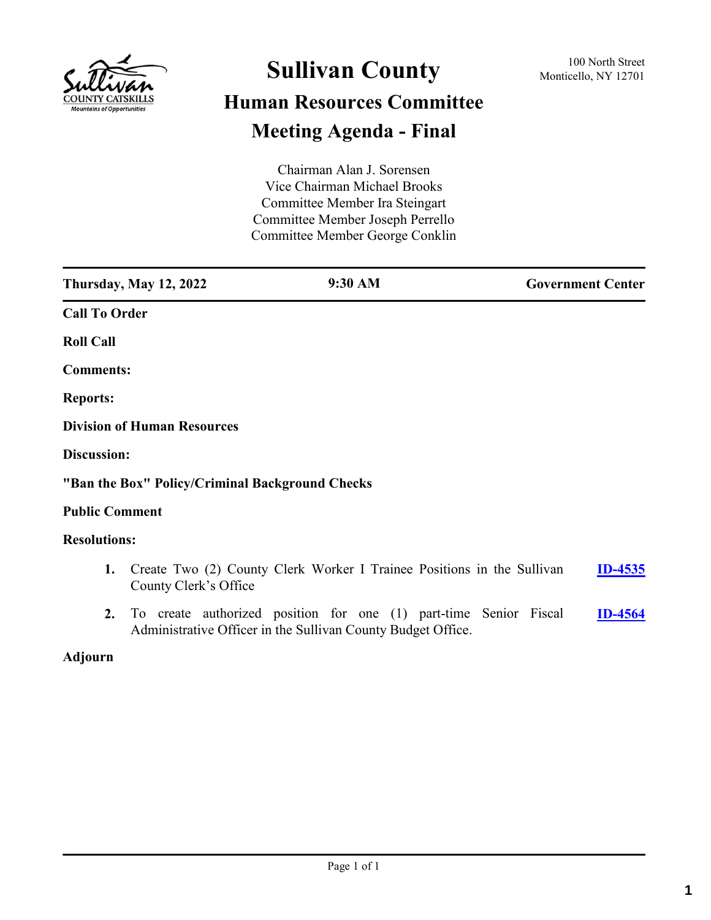

# **Sullivan County** 100 North Street 100 North Street **Human Resources Committee Meeting Agenda - Final**

Chairman Alan J. Sorensen Vice Chairman Michael Brooks Committee Member Ira Steingart Committee Member Joseph Perrello Committee Member George Conklin

| <b>Thursday, May 12, 2022</b>                   | 9:30 AM                                                                | <b>Government Center</b> |
|-------------------------------------------------|------------------------------------------------------------------------|--------------------------|
| <b>Call To Order</b>                            |                                                                        |                          |
| <b>Roll Call</b>                                |                                                                        |                          |
| <b>Comments:</b>                                |                                                                        |                          |
| <b>Reports:</b>                                 |                                                                        |                          |
| <b>Division of Human Resources</b>              |                                                                        |                          |
| Discussion:                                     |                                                                        |                          |
| "Ban the Box" Policy/Criminal Background Checks |                                                                        |                          |
| <b>Public Comment</b>                           |                                                                        |                          |
| <b>Resolutions:</b>                             |                                                                        |                          |
| 1.<br>County Clerk's Office                     | Create Two (2) County Clerk Worker I Trainee Positions in the Sullivan | <b>ID-4535</b>           |

**2.** To create authorized position for one (1) part-time Senior Fiscal Administrative Officer in the Sullivan County Budget Office. **[ID-4564](http://sullivancountyny.legistar.com/gateway.aspx?m=l&id=/matter.aspx?key=1590)**

# **Adjourn**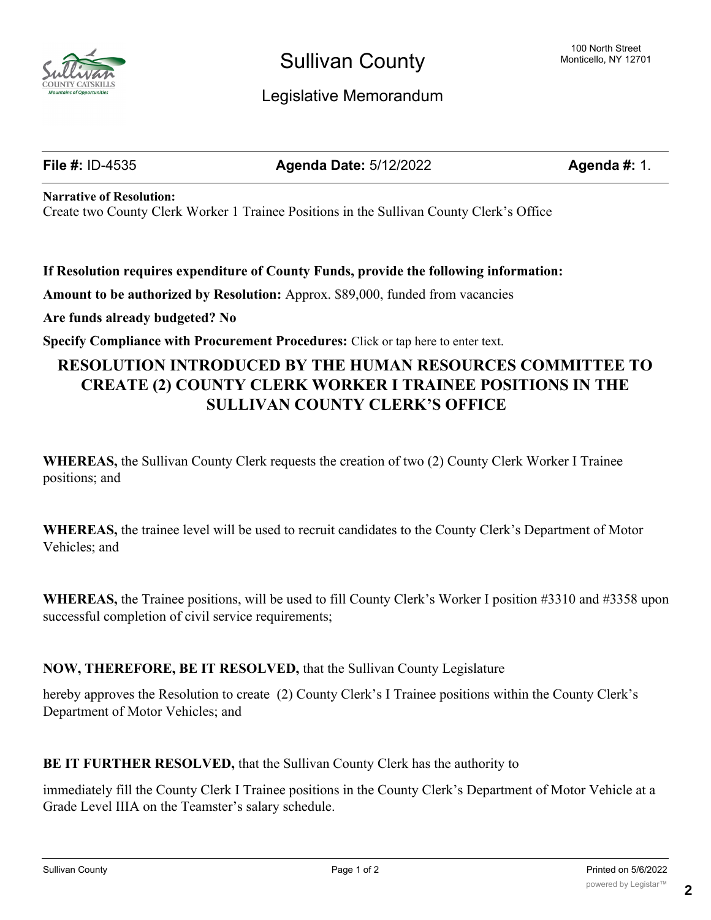

# Sullivan County

# Legislative Memorandum

**File #:** ID-4535 **Agenda Date:** 5/12/2022 **Agenda #:** 1.

**Narrative of Resolution:**

Create two County Clerk Worker 1 Trainee Positions in the Sullivan County Clerk's Office

**If Resolution requires expenditure of County Funds, provide the following information:**

**Amount to be authorized by Resolution:** Approx. \$89,000, funded from vacancies

**Are funds already budgeted? No**

**Specify Compliance with Procurement Procedures:** Click or tap here to enter text.

# **RESOLUTION INTRODUCED BY THE HUMAN RESOURCES COMMITTEE TO CREATE (2) COUNTY CLERK WORKER I TRAINEE POSITIONS IN THE SULLIVAN COUNTY CLERK'S OFFICE**

**WHEREAS,** the Sullivan County Clerk requests the creation of two (2) County Clerk Worker I Trainee positions; and

**WHEREAS,** the trainee level will be used to recruit candidates to the County Clerk's Department of Motor Vehicles; and

**WHEREAS,** the Trainee positions, will be used to fill County Clerk's Worker I position #3310 and #3358 upon successful completion of civil service requirements;

# **NOW, THEREFORE, BE IT RESOLVED,** that the Sullivan County Legislature

hereby approves the Resolution to create (2) County Clerk's I Trainee positions within the County Clerk's Department of Motor Vehicles; and

**BE IT FURTHER RESOLVED,** that the Sullivan County Clerk has the authority to

immediately fill the County Clerk I Trainee positions in the County Clerk's Department of Motor Vehicle at a Grade Level IIIA on the Teamster's salary schedule.